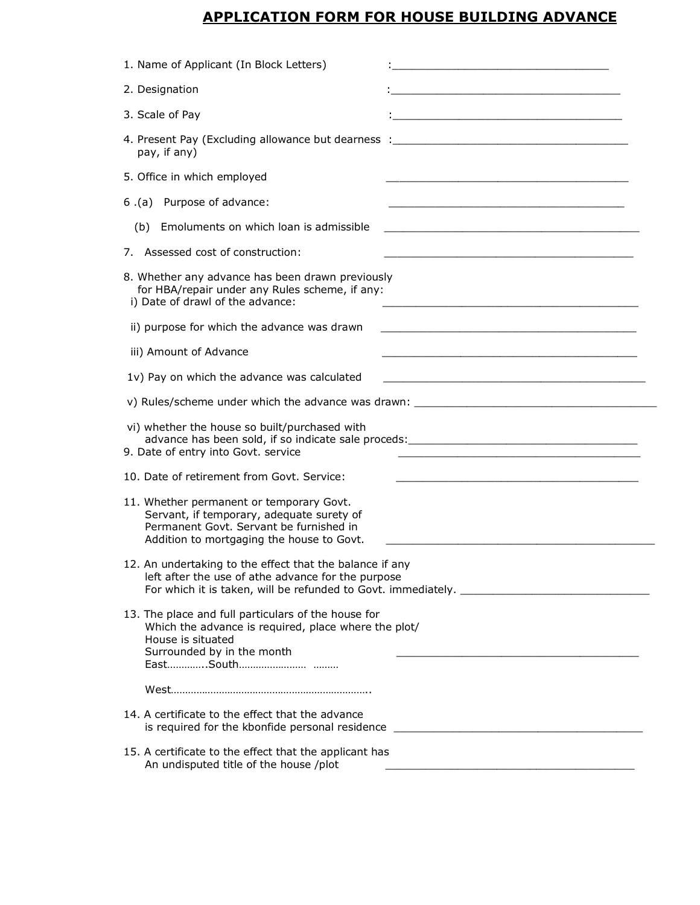## **APPLICATION FORM FOR HOUSE BUILDING ADVANCE**

| 1. Name of Applicant (In Block Letters)                                                                                                                                                            | <u> 1980 - Johann Barbara, martxa alemaniar arg</u>                                                                   |
|----------------------------------------------------------------------------------------------------------------------------------------------------------------------------------------------------|-----------------------------------------------------------------------------------------------------------------------|
| 2. Designation                                                                                                                                                                                     | <u> 1989 - Johann Barbara, martxa alemaniar arg</u>                                                                   |
| 3. Scale of Pay                                                                                                                                                                                    | <u> 1989 - Johann Barn, mars ann an Cathair ann an t-Aonaichte ann an t-Aonaichte ann an t-Aonaichte ann an t-Aon</u> |
| 4. Present Pay (Excluding allowance but dearness : ______________________________<br>pay, if any)                                                                                                  |                                                                                                                       |
| 5. Office in which employed                                                                                                                                                                        |                                                                                                                       |
| 6.(a) Purpose of advance:                                                                                                                                                                          |                                                                                                                       |
| Emoluments on which loan is admissible<br>(b)                                                                                                                                                      | <u> 1989 - Johann Stoff, amerikansk politiker (* 1908)</u>                                                            |
| 7. Assessed cost of construction:                                                                                                                                                                  |                                                                                                                       |
| 8. Whether any advance has been drawn previously<br>for HBA/repair under any Rules scheme, if any:<br>i) Date of drawl of the advance:                                                             | <u> 1989 - Johann John Stone, mensk politik foar de ferske keamt fan de ferske keamt fan de ferske keamt fan de f</u> |
| ii) purpose for which the advance was drawn                                                                                                                                                        |                                                                                                                       |
| iii) Amount of Advance                                                                                                                                                                             |                                                                                                                       |
| 1v) Pay on which the advance was calculated                                                                                                                                                        |                                                                                                                       |
|                                                                                                                                                                                                    |                                                                                                                       |
| vi) whether the house so built/purchased with<br>9. Date of entry into Govt. service                                                                                                               |                                                                                                                       |
| 10. Date of retirement from Govt. Service:                                                                                                                                                         |                                                                                                                       |
| 11. Whether permanent or temporary Govt.<br>Servant, if temporary, adequate surety of<br>Permanent Govt. Servant be furnished in<br>Addition to mortgaging the house to Govt.                      |                                                                                                                       |
| 12. An undertaking to the effect that the balance if any<br>left after the use of athe advance for the purpose<br>For which it is taken, will be refunded to Govt. immediately. __________________ |                                                                                                                       |
| 13. The place and full particulars of the house for<br>Which the advance is required, place where the plot/<br>House is situated<br>Surrounded by in the month                                     |                                                                                                                       |
|                                                                                                                                                                                                    |                                                                                                                       |
| 14. A certificate to the effect that the advance<br>is required for the kbonfide personal residence                                                                                                |                                                                                                                       |
| 15. A certificate to the effect that the applicant has                                                                                                                                             |                                                                                                                       |